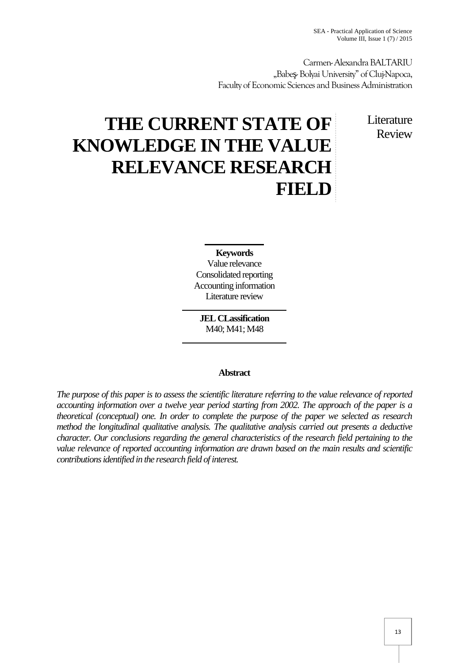Carmen-AlexandraBALTARIU "Babe - Bolyai University" of Clui-Napoca, Faculty of Economic Sciences and Business Administration

# **THE CURRENT STATE OF KNOWLEDGE IN THE VALUE RELEVANCE RESEARCH FIELD**

Literature Review

# **Keywords**

Value relevance Consolidated reporting Accounting information Literature review

**JEL CLassification** M40; M41; M48

## **Abstract**

*The purpose of this paper is to assess the scientific literature referring to the value relevance of reported accounting information over a twelve year period starting from 2002. The approach of the paper is a theoretical (conceptual) one. In order to complete the purpose of the paper we selected as research method the longitudinal qualitative analysis. The qualitative analysis carried out presents a deductive character. Our conclusions regarding the general characteristics of the research field pertaining to the value relevance of reported accounting information are drawn based on the main results and scientific contributions identified in the research field of interest.*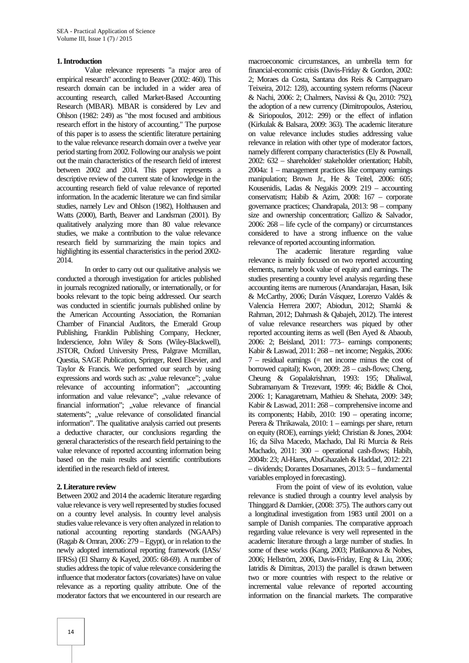#### **1.Introduction**

Value relevance represents "a major area of empirical research" according to Beaver (2002: 460). This research domain can be included in a wider area of accounting research, called Market-Based Accounting Research (MBAR). MBAR is considered by Lev and Ohlson (1982: 249) as "the most focused and ambitious research effort in the history of accounting." The purpose of this paper is to assess the scientific literature pertaining to the value relevance research domain over a twelve year period starting from 2002. Following our analysis we point out the main characteristics of the research field of interest between 2002 and 2014. This paper represents a descriptive review of the current state of knowledge in the accounting research field of value relevance of reported information. In the academic literature we can find similar studies, namely Lev and Ohlson (1982), Holthausen and Watts (2000), Barth, Beaver and Landsman (2001). By qualitatively analyzing more than 80 value relevance studies, we make a contribution to the value relevance research field by summarizing the main topics and highlighting its essential characteristics in the period 2002- 2014.

In order to carry out our qualitative analysis we conducted a thorough investigation for articles published in journals recognized nationally, or internationally, or for books relevant to the topic being addressed. Our search was conducted in scientific journals published online by the American Accounting Association, the Romanian Chamber of Financial Auditors, the Emerald Group Publishing, Franklin Publishing Company, Heckner, Inderscience, John Wiley & Sons (Wiley-Blackwell), JSTOR, Oxford University Press, Palgrave Mcmillan, Questia, SAGE Publication, Springer, Reed Elsevier, and Taylor & Francis. We performed our search by using expressions and words such as: "value relevance"; "value relevance of accounting information"; ,accounting information and value relevance"; "value relevance of financial information"; "value relevance of financial statements"; "value relevance of consolidated financial information". The qualitative analysis carried out presents a deductive character, our conclusions regarding the general characteristics of the research field pertaining to the value relevance of reported accounting information being based on the main results and scientific contributions identified in the research field of interest.

#### **2. Literature review**

Between 2002 and 2014 the academic literature regarding value relevance is very well represented by studies focused on a country level analysis. In country level analysis studies value relevance is very often analyzed in relation to national accounting reporting standards (NGAAPs) (Ragab & Omran, 2006: 279 – Egypt), or in relation to the newly adopted international reporting framework (IASs/ IFRSs) (El Shamy & Kayed, 2005: 68-69). A number of studies address the topic of value relevance considering the influence that moderator factors (covariates) have on value relevance as a reporting quality attribute. One of the moderator factors that we encountered in our research are

macroeconomic circumstances, an umbrella term for financial-economic crisis (Davis-Friday & Gordon, 2002: 2; Moraes da Costa, Santana dos Reis & Campagnaro Teixeira, 2012: 128), accounting system reforms (Naceur & Nachi, 2006: 2; Chalmers, Navissi & Qu, 2010: 792), the adoption of a new currency (Dimitropoulos, Asteriou, & Siriopoulos, 2012: 299) or the effect of inflation (Kirkulak & Balsara, 2009: 363). The academic literature on value relevance includes studies addressing value relevance in relation with other type of moderator factors, namely different company characteristics (Ely & Pownall, 2002: 632 – shareholder/ stakeholder orientation; Habib, 2004a: 1 – management practices like company earnings manipulation; Brown Jr., He & Teitel, 2006: 605; Kousenidis, Ladas & Negakis 2009: 219 – accounting conservatism; Habib & Azim, 2008: 167 – corporate governance practices; Chandrapala, 2013: 98 – company size and ownership concentration; Gallizo & Salvador, 2006: 268 – life cycle of the company) or circumstances considered to have a strong influence on the value relevance of reported accounting information.

The academic literature regarding value relevance is mainly focused on two reported accounting elements, namely book value of equity and earnings. The studies presenting a country level analysis regarding these accounting items are numerous (Anandarajan, Hasan, Isik & McCarthy, 2006; Durán Vásquez, Lorenzo Valdés & Valencia Herrera 2007; Abiodun, 2012; Shamki & Rahman, 2012; Dahmash & Qabajeh, 2012). The interest of value relevance researchers was piqued by other reported accounting items as well (Ben Ayed & Abaoub, 2006: 2; Beisland, 2011: 773– earnings components; Kabir & Laswad, 2011: 268 – net income; Negakis, 2006:  $7$  – residual earnings ( $=$  net income minus the cost of borrowed capital); Kwon, 2009: 28 – cash-flows; Cheng, Cheung & Gopalakrishnan, 1993: 195; Dhaliwal, Subramanyam & Trezevant, 1999: 46; Biddle & Choi, 2006: 1; Kanagaretnam, Mathieu & Shehata, 2009: 349; Kabir & Laswad, 2011: 268 – comprehensive income and its components; Habib, 2010: 190 – operating income; Perera & Thrikawala, 2010: 1 – earnings per share, return on equity (ROE), earnings yield; Christian & Jones, 2004: 16; da Silva Macedo, Machado, Dal Ri Murcia & Reis Machado, 2011: 300 – operational cash-flows; Habib, 2004b: 23; Al-Hares, AbuGhazaleh & Haddad, 2012: 221 – dividends; Dorantes Dosamanes, 2013: 5 – fundamental variables employed in forecasting).

From the point of view of its evolution, value relevance is studied through a country level analysis by Thinggard & Damkier, (2008: 375). The authors carry out a longitudinal investigation from 1983 until 2001 on a sample of Danish companies. The comparative approach regarding value relevance is very well represented in the academic literature through a large number of studies. In some of these works (Kang, 2003; Platikanova & Nobes, 2006; Hellström, 2006, Davis-Friday, Eng & Liu, 2006; Iatridis & Dimitras, 2013) the parallel is drawn between two or more countries with respect to the relative or incremental value relevance of reported accounting information on the financial markets. The comparative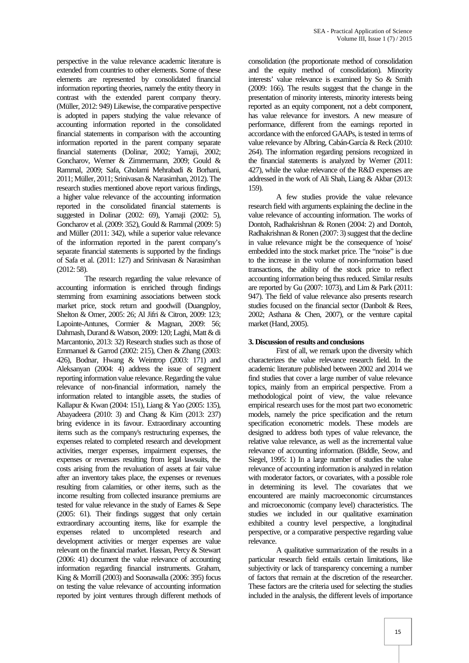perspective in the value relevance academic literature is extended from countries to other elements. Some of these elements are represented by consolidated financial information reporting theories, namely the entity theory in contrast with the extended parent company theory. (Müller, 2012: 949) Likewise, the comparative perspective is adopted in papers studying the value relevance of accounting information reported in the consolidated financial statements in comparison with the accounting information reported in the parent company separate financial statements (Dolinar, 2002; Yamaji, 2002; Goncharov, Werner & Zimmermann, 2009; Gould & Rammal, 2009; Safa, Gholami Mehrabadi & Borhani, 2011; Müller, 2011; Srinivasan& Narasimhan, 2012). The research studies mentioned above report various findings, a higher value relevance of the accounting information reported in the consolidated financial statements is suggested in Dolinar (2002: 69), Yamaji (2002: 5), Goncharov et al. (2009: 352), Gould & Rammal (2009: 5) and Müller (2011: 342), while a superior value relevance of the information reported in the parent company's separate financial statements is supported by the findings of Safa et al. (2011: 127) and Srinivasan & Narasimhan (2012: 58).

The research regarding the value relevance of accounting information is enriched through findings stemming from examining associations between stock market price, stock return and goodwill (Duangploy, Shelton & Omer, 2005: 26; Al Jifri & Citron, 2009: 123; Lapointe-Antunes, Cormier & Magnan, 2009: 56; Dahmash, Durand & Watson, 2009: 120; Laghi, Matt & di Marcantonio, 2013: 32) Research studies such as those of Emmanuel & Garrod (2002: 215), Chen & Zhang (2003: 426), Bodnar, Hwang & Weintrop (2003: 171) and Aleksanyan (2004: 4) address the issue of segment reporting information value relevance. Regarding the value relevance of non-financial information, namely the information related to intangible assets, the studies of Kallapur & Kwan (2004: 151), Liang & Yao (2005: 135), Abayadeera (2010: 3) and Chang & Kim (2013: 237) bring evidence in its favour. Extraordinary accounting items such as the company's restructuring expenses, the expenses related to completed research and development activities, merger expenses, impairment expenses, the expenses or revenues resulting from legal lawsuits, the costs arising from the revaluation of assets at fair value after an inventory takes place, the expenses or revenues resulting from calamities, or other items, such as the income resulting from collected insurance premiums are tested for value relevance in the study of Earnes & Sepe (2005: 61). Their findings suggest that only certain extraordinary accounting items, like for example the expenses related to uncompleted research and development activities or merger expenses are value relevant on the financial market. Hassan, Percy & Stewart (2006: 41) document the value relevance of accounting information regarding financial instruments. Graham, King & Morrill (2003) and Soonawalla (2006: 395) focus on testing the value relevance of accounting information reported by joint ventures through different methods of

consolidation (the proportionate method of consolidation and the equity method of consolidation). Minority interests' value relevance is examined by So & Smith (2009: 166). The results suggest that the change in the presentation of minority interests, minority interests being reported as an equity component, not a debt component, has value relevance for investors. A new measure of performance, different from the earnings reported in accordance with the enforced GAAPs, is tested in terms of value relevance by Albring, Cabán-García & Reck (2010: 264). The information regarding pensions recognized in the financial statements is analyzed by Werner (2011: 427), while the value relevance of the R&D expenses are addressed in the work of Ali Shah, Liang & Akbar (2013: 159).

A few studies provide the value relevance research field with arguments explaining the decline in the value relevance of accounting information. The works of Dontoh, Radhakrishnan & Ronen (2004: 2) and Dontoh, Radhakrishnan & Ronen (2007: 3) suggest that the decline in value relevance might be the consequence of 'noise' embedded into the stock market price. The "noise" is due to the increase in the volume of non-information based transactions, the ability of the stock price to reflect accounting information being thus reduced. Similar results are reported by Gu (2007: 1073), and Lim & Park (2011: 947). The field of value relevance also presents research studies focused on the financial sector (Danbolt & Rees, 2002; Asthana & Chen, 2007), or the venture capital market (Hand, 2005).

### **3. Discussion of results and conclusions**

First of all, we remark upon the diversity which characterizes the value relevance research field. In the academic literature published between 2002 and 2014 we find studies that cover a large number of value relevance topics, mainly from an empirical perspective. From a methodological point of view, the value relevance empirical research uses for the most part two econometric models, namely the price specification and the return specification econometric models. These models are designed to address both types of value relevance, the relative value relevance, as well as the incremental value relevance of accounting information. (Biddle, Seow, and Siegel, 1995: 1) In a large number of studies the value relevance of accounting information is analyzed in relation with moderator factors, or covariates, with a possible role in determining its level. The covariates that we encountered are mainly macroeconomic circumstances and microeconomic (company level) characteristics. The studies we included in our qualitative examination exhibited a country level perspective, a longitudinal perspective, or a comparative perspective regarding value relevance.

A qualitative summarization of the results in a particular research field entails certain limitations, like subjectivity or lack of transparency concerning a number of factors that remain at the discretion of the researcher. These factors are the criteria used for selecting the studies included in the analysis, the different levels of importance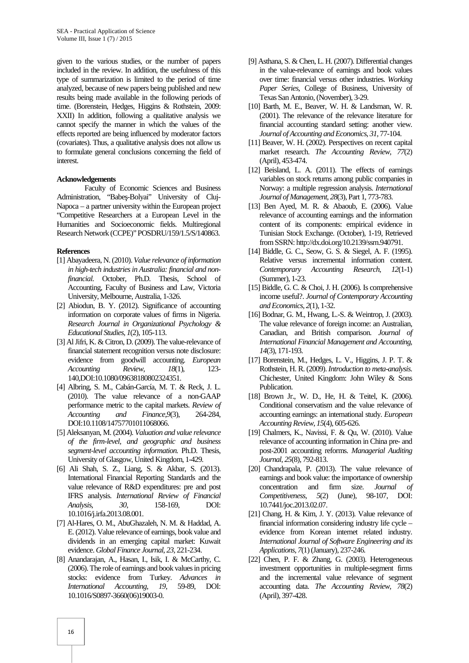given to the various studies, or the number of papers included in the review. In addition, the usefulness of this type of summarization is limited to the period of time analyzed, because of new papers being published and new results being made available in the following periods of time. (Borenstein, Hedges, Higgins & Rothstein, 2009: XXII) In addition, following a qualitative analysis we cannot specify the manner in which the values of the effects reported are being influenced by moderator factors (covariates). Thus, a qualitative analysis does not allow us to formulate general conclusions concerning the field of interest.

#### **Acknowledgements**

Faculty of Economic Sciences and Business Administration, "Babe-Bolyai" University of Cluj-Napoca – a partner university within the European project "Competitive Researchers at a European Level in the Humanities and Socioeconomic fields. Multiregional Research Network (CCPE)" POSDRU/159/1.5/S/140863.

#### **References**

- [1] Abayadeera, N. (2010).*Value relevance of information* in high-tech industries in Australia: financial and non*financial*. October, Ph.D. Thesis, School of Accounting, Faculty of Business and Law, Victoria University, Melbourne, Australia, 1-326.
- [2] Abiodun, B. Y. (2012). Significance of accounting information on corporate values of firms in Nigeria. *Research Journal in Organizational Psychology & Educational Studies*, *1*(2), 105-113.
- [3] Al Jifri, K. & Citron, D. (2009). The value-relevance of financial statement recognition versus note disclosure: evidence from goodwill accounting. *European Accounting Review*, *18*(1), 123- 140,DOI:10.1080/09638180802324351.
- [4] Albring, S. M., Cabán-García, M. T. & Reck, J. L. (2010). The value relevance of a non-GAAP performance metric to the capital markets. *Review of Accounting and Finance*,*9*(3), 264-284, DOI:10.1108/14757701011068066.
- [5] Aleksanyan, M. (2004). *Valuation and value relevance of the firm-level, and geographic and business segment-level accounting information.* Ph.D. Thesis, University of Glasgow, United Kingdom, 1-429.
- [6] Ali Shah, S. Z., Liang, S. & Akbar, S. (2013). International Financial Reporting Standards and the value relevance of R&D expenditures: pre and post IFRS analysis. *International Review of Financial Analysis*, *30*, 158-169, DOI: 10.1016/j.irfa.2013.08.001.
- [7] Al-Hares, O. M., AbuGhazaleh, N. M. & Haddad, A. E. (2012). Value relevance of earnings, book value and dividends in an emerging capital market: Kuwait evidence. *Global Finance Journal*, *23*, 221-234.
- [8] Anandarajan, A., Hasan, I., Isik, I. & McCarthy, C. (2006). The role of earnings and book values in pricing stocks: evidence from Turkey. *Advances in International Accounting*, *19*, 59-89, DOI: 10.1016/S0897-3660(06)19003-0.
- [9] Asthana, S. & Chen, L. H. (2007). Differential changes in the value-relevance of earnings and book values over time: financial versus other industries. *Working Paper Series*, College of Business, University of Texas San Antonio, (November), 3-29.
- [10] Barth, M. E., Beaver, W. H. & Landsman, W. R. (2001). The relevance of the relevance literature for financial accounting standard setting: another view. *Journal of Accounting and Economics*, *31*, 77-104.
- [11] Beaver, W. H. (2002). Perspectives on recent capital market research. *The Accounting Review*, *77*(2) (April), 453-474.
- [12] Beisland, L. A. (2011). The effects of earnings variables on stock returns among public companies in Norway: a multiple regression analysis. *International Journal of Management*, *28*(3), Part 1, 773-783.
- [13] Ben Ayed, M. R. & Abaoub, E. (2006). Value relevance of accounting earnings and the information content of its components: empirical evidence in Tunisian Stock Exchange. (October), 1-19, Retrieved from SSRN: http://dx.doi.org/10.2139/ssrn.940791.
- [14] Biddle, G. C., Seow, G. S. & Siegel, A. F. (1995). Relative versus incremental information content. *Contemporary Accounting Research*, *12*(1-1) (Summer), 1-23.
- [15] Biddle, G. C. & Choi, J. H. (2006). Is comprehensive income useful?. *Journal of Contemporary Accounting and Economics*, *2*(1), 1-32.
- [16] Bodnar, G. M., Hwang, L.-S. & Weintrop, J. (2003). The value relevance of foreign income: an Australian, Canadian, and British comparison. *Journal of International Financial Management and Accounting*, *14*(3), 171-193.
- [17] Borenstein, M., Hedges, L. V., Higgins, J. P. T. & Rothstein, H. R. (2009).*Introduction to meta-analysis*. Chichester, United Kingdom: John Wiley & Sons Publication.
- [18] Brown Jr., W. D., He, H. & Teitel, K. (2006). Conditional conservatism and the value relevance of accounting earnings: an international study. *European Accounting Review*, *15*(4), 605-626.
- [19] Chalmers, K., Navissi, F. & Qu, W. (2010). Value relevance of accounting information in China pre- and post-2001 accounting reforms. *Managerial Auditing Journal*, *25*(8), 792-813.
- [20] Chandrapala, P. (2013). The value relevance of earnings and book value: the importance of ownership concentration and firm size. *Journal of Competitiveness*, *5*(2) (June), 98-107, DOI: 10.7441/joc.2013.02.07.
- [21] Chang, H. & Kim, J. Y. (2013). Value relevance of financial information considering industry life cycle – evidence from Korean internet related industry. *International Journal of Software Engineering and its Applications*, *7*(1) (January), 237-246.
- [22] Chen, P. F. & Zhang, G. (2003). Heterogeneous investment opportunities in multiple-segment firms and the incremental value relevance of segment accounting data. *The Accounting Review*, *78*(2) (April), 397-428.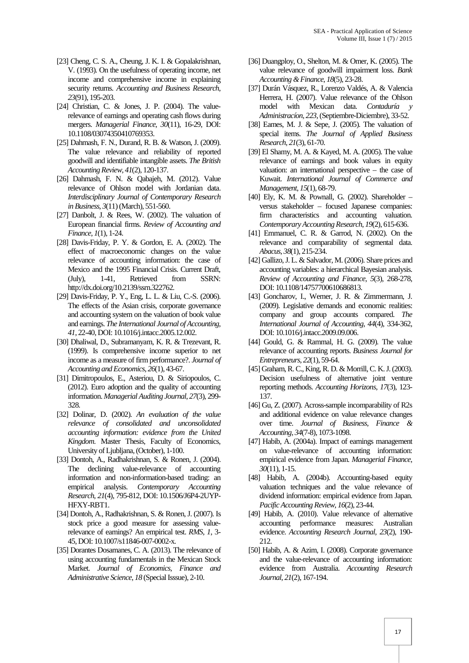- [23] Cheng, C. S. A., Cheung, J. K. I. & Gopalakrishnan, V. (1993). On the usefulness of operating income, net income and comprehensive income in explaining security returns. *Accounting and Business Research*, *23*(91), 195-203.
- [24] Christian, C. & Jones, J. P. (2004). The valuerelevance of earnings and operating cash flows during mergers. *Managerial Finance*, *30*(11), 16-29, DOI: 10.1108/03074350410769353.
- [25] Dahmash, F. N., Durand, R. B. & Watson, J. (2009). The value relevance and reliability of reported goodwill and identifiable intangible assets. *The British Accounting Review*, *41*(2), 120-137.
- [26] Dahmash, F. N. & Qabajeh, M. (2012). Value relevance of Ohlson model with Jordanian data. *Interdisciplinary Journal of Contemporary Research in Business*, *3*(11) (March), 551-560.
- [27] Danbolt, J. & Rees, W. (2002). The valuation of European financial firms. *Review of Accounting and Finance*, *1*(1), 1-24.
- [28] Davis-Friday, P. Y. & Gordon, E. A. (2002). The effect of macroeconomic changes on the value relevance of accounting information: the case of Mexico and the 1995 Financial Crisis. Current Draft, (July), 1-41, Retrieved from SSRN: http://dx.doi.org/10.2139/ssrn.322762.
- [29] Davis-Friday, P. Y., Eng, L. L. & Liu, C.-S. (2006). The effects of the Asian crisis, corporate governance and accounting system on the valuation of book value and earnings. *The International Journal of Accounting*, *41*, 22-40, DOI: 10.1016/j.intacc.2005.12.002.
- [30] Dhaliwal, D., Subramanyam, K. R. & Trezevant, R. (1999). Is comprehensive income superior to net income as a measure of firm performance?. *Journal of Accounting and Economics*, *26*(1), 43-67.
- [31] Dimitropoulos, E., Asteriou, D. & Siriopoulos, C. (2012). Euro adoption and the quality of accounting information. *Managerial Auditing Journal*, *27*(3), 299- 328.
- [32] Dolinar, D. (2002). *An evaluation of the value relevance of consolidated and unconsolidated accounting information: evidence from the United Kingdom*. Master Thesis, Faculty of Economics, University of Ljubljana, (October), 1-100.
- [33] Dontoh, A., Radhakrishnan, S. & Ronen, J. (2004). The declining value-relevance of accounting information and non-information-based trading: an empirical analysis. *Contemporary Accounting Research*, *21*(4), 795-812, DOI: 10.1506/J6P4-2UYP- HFXY-RBT1.
- [34] Dontoh, A., Radhakrishnan, S. & Ronen, J. (2007). Is stock price a good measure for assessing valuerelevance of earnings? An empirical test. *RMS*, *1*, 3- 45, DOI: 10.1007/s11846-007-0002-x.
- [35] Dorantes Dosamanes, C. A. (2013). The relevance of using accounting fundamentals in the Mexican Stock Market. *Journal of Economics, Finance and Administrative Science*, *18* (Special Isssue), 2-10.
- [36] Duangploy, O., Shelton, M. & Omer, K. (2005). The value relevance of goodwill impairment loss. *Bank Accounting & Finance*, *18*(5), 23-28.
- [37] Durán Vásquez, R., Lorenzo Valdés, A. & Valencia Herrera, H. (2007). Value relevance of the Ohlson model with Mexican data. *Contaduría y Administracíon*, *223*, (Septiembre-Diciembre), 33-52.
- [38] Eames, M. J. & Sepe, J. (2005). The valuation of special items. *The Journal of Applied Business Research*, *21*(3), 61-70.
- [39] El Shamy, M. A. & Kayed, M. A. (2005). The value relevance of earnings and book values in equity valuation: an international perspective – the case of Kuwait. *International Journal of Commerce and Management*, *15*(1), 68-79.
- [40] Ely, K. M. & Pownall, G. (2002). Shareholder versus stakeholder – focused Japanese companies: firm characteristics and accounting valuation. *Contemporary Accounting Research*, *19*(2), 615-636.
- [41] Emmanuel, C. R. & Garrod, N. (2002). On the relevance and comparability of segmental data. *Abacus*, *38*(1), 215-234.
- [42] Gallizo, J. L. & Salvador, M. (2006). Share prices and accounting variables: a hierarchical Bayesian analysis. *Review of Accounting and Finance*, *5*(3), 268-278, DOI: 10.1108/14757700610686813.
- [43] Goncharov, I., Werner, J. R. & Zimmermann, J. (2009). Legislative demands and economic realities: company and group accounts compared. *The International Journal of Accounting*, *44*(4), 334-362, DOI: 10.1016/j.intacc.2009.09.006.
- [44] Gould, G. & Rammal, H. G. (2009). The value relevance of accounting reports. *Business Journal for Entrepreneurs*, *22*(1), 59-64.
- [45] Graham, R. C., King, R. D. & Morrill, C. K. J. (2003). Decision usefulness of alternative joint venture reporting methods. *Accounting Horizons*, *17*(3), 123- 137.
- [46] Gu, Z. (2007). Across-sample incomparability of R2s and additional evidence on value relevance changes over time. *Journal of Business, Finance & Accounting*, *34*(7-8), 1073-1098.
- [47] Habib, A. (2004a). Impact of earnings management on value-relevance of accounting information: empirical evidence from Japan. *Managerial Finance*, *30*(11), 1-15.
- [48] Habib, A. (2004b). Accounting-based equity valuation techniques and the value relevance of dividend information: empirical evidence from Japan. *Pacific Accounting Review*, *16*(2), 23-44.
- [49] Habib, A. (2010). Value relevance of alternative accounting performance measures: Australian evidence. *Accounting Research Journal*, *23*(2), 190- 212.
- [50] Habib, A. & Azim, I. (2008). Corporate governance and the value-relevance of accounting information: evidence from Australia. *Accounting Research Journal*, *21*(2), 167-194.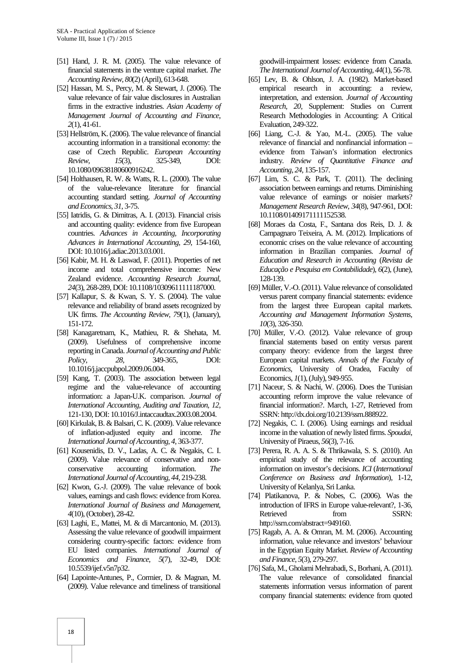- [51] Hand, J. R. M. (2005). The value relevance of financial statements in the venture capital market. *The Accounting Review*, *80*(2) (April), 613-648.
- [52] Hassan, M. S., Percy, M. & Stewart, J. (2006). The value relevance of fair value disclosures in Australian firms in the extractive industries. *Asian Academy of Management Journal of Accounting and Finance*, *2*(1), 41-61.
- [53] Hellström, K. (2006). The value relevance of financial accounting information in a transitional economy: the case of Czech Republic. *European Accounting Review*, *15*(3), 325-349, DOI: 10.1080/09638180600916242.
- [54] Holthausen, R. W. & Watts, R. L. (2000). The value of the value-relevance literature for financial accounting standard setting. *Journal of Accounting and Economics*, *31*, 3-75.
- [55] Iatridis, G. & Dimitras, A. I. (2013). Financial crisis and accounting quality: evidence from five European countries. *Advances in Accounting, Incorporating Advances in International Accounting*, *29*, 154-160, DOI: 10.1016/j.adiac.2013.03.001.
- [56] Kabir, M. H. & Laswad, F. (2011). Properties of net income and total comprehensive income: New Zealand evidence. *Accounting Research Journal*, *24*(3), 268-289, DOI: 10.1108/10309611111187000.
- [57] Kallapur, S. & Kwan, S. Y. S. (2004). The value relevance and reliability of brand assets recognized by UK firms. *The Accounting Review*, *79*(1), (January), 151-172.
- [58] Kanagaretnam, K., Mathieu, R. & Shehata, M. (2009). Usefulness of comprehensive income reporting in Canada. *Journal of Accounting and Public Policy*, *28*, 349-365, DOI: 10.1016/j.jaccpubpol.2009.06.004.
- [59] Kang, T. (2003). The association between legal regime and the value-relevance of accounting information: a Japan-U.K. comparison. *Journal of International Accounting, Auditing and Taxation*, *12*, 121-130, DOI: 10.1016/J.intaccaudtax.2003.08.2004.
- [60] Kirkulak, B. & Balsari, C. K. (2009). Value relevance of inflation-adjusted equity and income. *The International Journal of Accounting*, *4*, 363-377.
- [61] Kousenidis, D. V., Ladas, A. C. & Negakis, C. I. (2009). Value relevance of conservative and non conservative accounting information. *The International Journal of Accounting*, *44*, 219-238.
- [62] Kwon, G.-J. (2009). The value relevance of book values, earnings and cash flows: evidence from Korea. *International Journal of Business and Management*, *4*(10), (October), 28-42.
- [63] Laghi, E., Mattei, M. & di Marcantonio, M. (2013). Assessing the value relevance of goodwill impairment considering country-specific factors: evidence from EU listed companies. *International Journal of Economics and Finance*, *5*(7), 32-49, DOI: 10.5539/ijef.v5n7p32.
- [64] Lapointe-Antunes, P., Cormier, D. & Magnan, M. (2009). Value relevance and timeliness of transitional

goodwill-impairment losses: evidence from Canada. *The International Journal of Accounting*, *44*(1), 56-78.

- [65] Lev, B. & Ohlson, J. A. (1982). Market-based empirical research in accounting: a review, interpretation, and extension. *Journal of Accounting Research*, *20*, Supplement: Studies on Current Research Methodologies in Accounting: A Critical Evaluation, 249-322.
- [66] Liang, C.-J. & Yao, M.-L. (2005). The value relevance of financial and nonfinancial information – evidence from Taiwan's information electronics industry. *Review of Quantitative Finance and Accounting*, *24*, 135-157.
- [67] Lim, S. C. & Park, T. (2011). The declining association between earnings and returns. Diminishing value relevance of earnings or noisier markets? *Management Research Review*, *34*(8), 947-961, DOI: 10.1108/01409171111152538.
- [68] Moraes da Costa, F., Santana dos Reis, D. J. & Campagnaro Teixeira, A. M. (2012). Implications of economic crises on the value relevance of accounting information in Brazilian companies. *Journal of Education and Research in Accounting* (*Revista de Educação e Pesquisa em Contabilidade*), *6*(2), (June), 128-139.
- [69] Müller, V.-O. (2011). Value relevance of consolidated versus parent company financial statements: evidence from the largest three European capital markets. *Accounting and Management Information Systems, 10*(3), 326-350.
- [70] Müller, V.-O. (2012). Value relevance of group financial statements based on entity versus parent company theory: evidence from the largest three European capital markets. *Annals of the Faculty of Economics*, University of Oradea, Faculty of Economics, *1*(1), (July), 949-955.
- [71] Naceur, S. & Nachi, W. (2006). Does the Tunisian accounting reform improve the value relevance of financial information?. March, 1-27, Retrieved from SSRN: http://dx.doi.org/10.2139/ssrn.888922.
- [72] Negakis, C. I. (2006). Using earnings and residual income in the valuation of newly listed firms. *Spoudai*, University of Piraeus, *56*(3), 7-16.
- [73] Perera, R. A. A. S. & Thrikawala, S. S. (2010). An empirical study of the relevance of accounting information on investor's decisions. *ICI* (*International Conference on Business and Information*), 1-12, University of Kelanlya, Sri Lanka.
- [74] Platikanova, P. & Nobes, C. (2006). Was the introduction of IFRS in Europe value-relevant?, 1-36, Retrieved from SSRN: http://ssrn.com/abstract=949160.
- [75] Ragab, A. A. & Omran, M. M. (2006). Accounting information, value relevance and investors' behaviour in the Egyptian Equity Market. *Review of Accounting and Finance*, *5*(3), 279-297.
- [76] Safa, M., Gholami Mehrabadi, S., Borhani, A. (2011). The value relevance of consolidated financial statements information versus information of parent company financial statements: evidence from quoted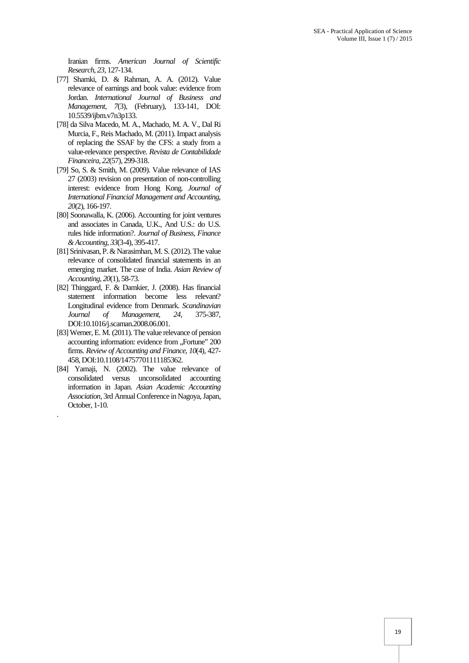Iranian firms. *American Journal of Scientific Research*, *23*, 127-134.

- [77] Shamki, D. & Rahman, A. A. (2012). Value relevance of earnings and book value: evidence from Jordan. *International Journal of Business and Management*, *7*(3), (February), 133-141, DOI: 10.5539/ijbm.v7n3p133.
- [78] da Silva Macedo, M. A., Machado, M. A. V., Dal Ri Murcia, F., Reis Machado, M. (2011). Impact analysis of replacing the SSAF by the CFS: a study from a value-relevance perspective. *Revista de Contabilidade Financeira*, *22*(57), 299-318.
- [79] So, S. & Smith, M. (2009). Value relevance of IAS 27 (2003) revision on presentation of non-controlling interest: evidence from Hong Kong. *Journal of International Financial Management and Accounting*, *20*(2), 166-197.
- [80] Soonawalla, K. (2006). Accounting for joint ventures and associates in Canada, U.K., And U.S.: do U.S. rules hide information?. *Journal of Business, Finance & Accounting*, *33*(3-4), 395-417.
- [81] Srinivasan, P. & Narasimhan, M. S. (2012). The value relevance of consolidated financial statements in an emerging market. The case of India. *Asian Review of Accounting*, *20*(1), 58-73.
- [82] Thinggard, F. & Damkier, J. (2008). Has financial statement information become less relevant? Longitudinal evidence from Denmark. *Scandinavian Journal of Management*, *24*, 375-387, DOI:10.1016/j.scaman.2008.06.001.
- [83] Werner, E. M. (2011). The value relevance of pension accounting information: evidence from "Fortune" 200 firms. *Review of Accounting and Finance*, *10*(4), 427- 458, DOI:10.1108/14757701111185362.
- [84] Yamaji, N. (2002). The value relevance of consolidated versus unconsolidated accounting information in Japan. *Asian Academic Accounting Association*, 3rd Annual Conference in Nagoya, Japan, October, 1-10.

.